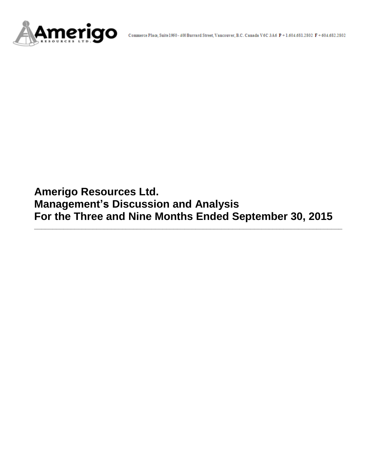

**Amerigo Resources Ltd. Management's Discussion and Analysis For the Three and Nine Months Ended September 30, 2015**

**\_\_\_\_\_\_\_\_\_\_\_\_\_\_\_\_\_\_\_\_\_\_\_\_\_\_\_\_\_\_\_\_\_\_\_\_\_\_\_\_\_\_\_\_\_\_\_\_\_\_\_\_\_\_\_\_\_\_\_\_\_\_\_\_\_\_\_\_\_\_\_\_\_\_\_\_\_\_\_\_\_\_\_\_**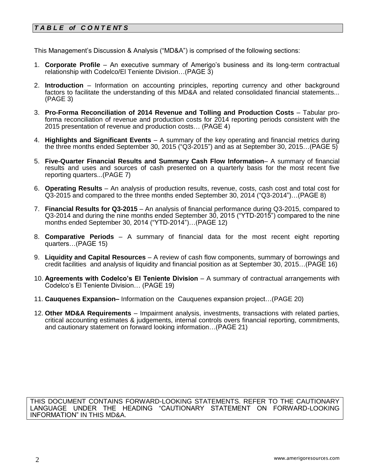# *T A B L E of C O N T E NT S*

This Management's Discussion & Analysis ("MD&A") is comprised of the following sections:

- 1. **Corporate Profile**  An executive summary of Amerigo's business and its long-term contractual relationship with Codelco/El Teniente Division…(PAGE 3)
- 2. **Introduction**  Information on accounting principles, reporting currency and other background factors to facilitate the understanding of this MD&A and related consolidated financial statements... (PAGE 3)
- 3. **Pro-Forma Reconciliation of 2014 Revenue and Tolling and Production Costs** Tabular proforma reconciliation of revenue and production costs for 2014 reporting periods consistent with the 2015 presentation of revenue and production costs… (PAGE 4)
- 4. **Highlights and Significant Events** A summary of the key operating and financial metrics during the three months ended September 30, 2015 ("Q3-2015") and as at September 30, 2015…(PAGE 5)
- 5. **Five-Quarter Financial Results and Summary Cash Flow Information** A summary of financial results and uses and sources of cash presented on a quarterly basis for the most recent five reporting quarters...(PAGE 7)
- 6. **Operating Results** An analysis of production results, revenue, costs, cash cost and total cost for Q3-2015 and compared to the three months ended September 30, 2014 ("Q3-2014")…(PAGE 8)
- 7. **Financial Results for Q3-2015** An analysis of financial performance during Q3-2015, compared to Q3-2014 and during the nine months ended September 30, 2015 ("YTD-2015") compared to the nine months ended September 30, 2014 ("YTD-2014")…(PAGE 12)
- 8. **Comparative Periods** A summary of financial data for the most recent eight reporting quarters…(PAGE 15)
- 9. **Liquidity and Capital Resources** A review of cash flow components, summary of borrowings and credit facilities and analysis of liquidity and financial position as at September 30, 2015…(PAGE 16)
- 10. **Agreements with Codelco's El Teniente Division** A summary of contractual arrangements with Codelco's El Teniente Division… (PAGE 19)
- 11. **Cauquenes Expansion–** Information on the Cauquenes expansion project…(PAGE 20)
- 12. **Other MD&A Requirements** Impairment analysis, investments, transactions with related parties, critical accounting estimates & judgements, internal controls overs financial reporting, commitments, and cautionary statement on forward looking information…(PAGE 21)

THIS DOCUMENT CONTAINS FORWARD-LOOKING STATEMENTS. REFER TO THE CAUTIONARY LANGUAGE UNDER THE HEADING "CAUTIONARY STATEMENT ON FORWARD-LOOKING INFORMATION" IN THIS MD&A.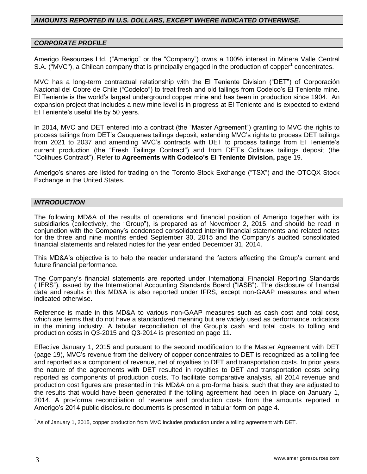### *AMOUNTS REPORTED IN U.S. DOLLARS, EXCEPT WHERE INDICATED OTHERWISE.*

### *CORPORATE PROFILE*

Amerigo Resources Ltd. ("Amerigo" or the "Company") owns a 100% interest in Minera Valle Central S.A. ("MVC"), a Chilean company that is principally engaged in the production of copper<sup>1</sup> concentrates.

MVC has a long-term contractual relationship with the El Teniente Division ("DET") of Corporación Nacional del Cobre de Chile ("Codelco") to treat fresh and old tailings from Codelco's El Teniente mine. El Teniente is the world's largest underground copper mine and has been in production since 1904. An expansion project that includes a new mine level is in progress at El Teniente and is expected to extend El Teniente's useful life by 50 years.

In 2014, MVC and DET entered into a contract (the "Master Agreement") granting to MVC the rights to process tailings from DET's Cauquenes tailings deposit, extending MVC's rights to process DET tailings from 2021 to 2037 and amending MVC's contracts with DET to process tailings from El Teniente's current production (the "Fresh Tailings Contract") and from DET's Colihues tailings deposit (the "Colihues Contract"). Refer to **Agreements with Codelco's El Teniente Division,** page 19.

Amerigo's shares are listed for trading on the Toronto Stock Exchange ("TSX") and the OTCQX Stock Exchange in the United States.

### *INTRODUCTION*

The following MD&A of the results of operations and financial position of Amerigo together with its subsidiaries (collectively, the "Group"), is prepared as of November 2, 2015, and should be read in conjunction with the Company's condensed consolidated interim financial statements and related notes for the three and nine months ended September 30, 2015 and the Company's audited consolidated financial statements and related notes for the year ended December 31, 2014.

This MD&A's objective is to help the reader understand the factors affecting the Group's current and future financial performance.

The Company's financial statements are reported under International Financial Reporting Standards ("IFRS"), issued by the International Accounting Standards Board ("IASB"). The disclosure of financial data and results in this MD&A is also reported under IFRS, except non-GAAP measures and when indicated otherwise.

Reference is made in this MD&A to various non-GAAP measures such as cash cost and total cost, which are terms that do not have a standardized meaning but are widely used as performance indicators in the mining industry. A tabular reconciliation of the Group's cash and total costs to tolling and production costs in Q3-2015 and Q3-2014 is presented on page 11.

Effective January 1, 2015 and pursuant to the second modification to the Master Agreement with DET (page 19), MVC's revenue from the delivery of copper concentrates to DET is recognized as a tolling fee and reported as a component of revenue, net of royalties to DET and transportation costs. In prior years the nature of the agreements with DET resulted in royalties to DET and transportation costs being reported as components of production costs. To facilitate comparative analysis, all 2014 revenue and production cost figures are presented in this MD&A on a pro-forma basis, such that they are adjusted to the results that would have been generated if the tolling agreement had been in place on January 1, 2014. A pro-forma reconciliation of revenue and production costs from the amounts reported in Amerigo's 2014 public disclosure documents is presented in tabular form on page 4.

 $1$  As of January 1, 2015, copper production from MVC includes production under a tolling agreement with DET.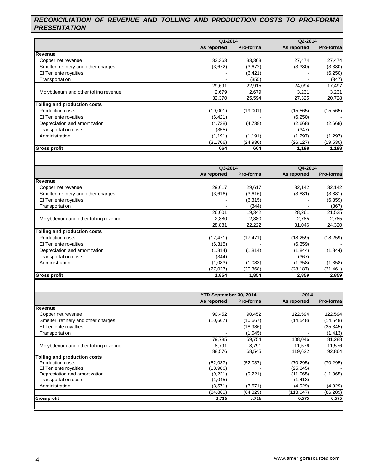# *RECONCILIATION OF REVENUE AND TOLLING AND PRODUCTION COSTS TO PRO-FORMA PRESENTATION*

|                                      |             | Q1-2014   |             | Q2-2014   |
|--------------------------------------|-------------|-----------|-------------|-----------|
|                                      | As reported | Pro-forma | As reported | Pro-forma |
| Revenue                              |             |           |             |           |
| Copper net revenue                   | 33,363      | 33,363    | 27,474      | 27,474    |
| Smelter, refinery and other charges  | (3,672)     | (3,672)   | (3,380)     | (3,380)   |
| El Teniente royalties                |             | (6, 421)  | -           | (6, 250)  |
| Transportation                       |             | (355)     |             | (347)     |
|                                      | 29,691      | 22,915    | 24,094      | 17,497    |
| Molybdenum and other tolling revenue | 2,679       | 2,679     | 3,231       | 3,231     |
|                                      | 32,370      | 25,594    | 27,325      | 20,728    |
| Tolling and production costs         |             |           |             |           |
| <b>Production costs</b>              | (19,001)    | (19,001)  | (15, 565)   | (15, 565) |
| El Teniente royalties                | (6, 421)    |           | (6,250)     |           |
| Depreciation and amortization        | (4,738)     | (4,738)   | (2,668)     | (2,668)   |
| <b>Transportation costs</b>          | (355)       |           | (347)       |           |
| Administration                       | (1, 191)    | (1, 191)  | (1,297)     | (1,297)   |
|                                      | (31, 706)   | (24, 930) | (26, 127)   | (19, 530) |
| <b>Gross profit</b>                  | 664         | 664       | 1,198       | 1,198     |

|                                      | Q3-2014     |           | Q4-2014     |           |
|--------------------------------------|-------------|-----------|-------------|-----------|
|                                      | As reported | Pro-forma | As reported | Pro-forma |
| Revenue                              |             |           |             |           |
| Copper net revenue                   | 29,617      | 29,617    | 32,142      | 32,142    |
| Smelter, refinery and other charges  | (3,616)     | (3,616)   | (3,881)     | (3,881)   |
| El Teniente royalties                |             | (6,315)   |             | (6, 359)  |
| Transportation                       |             | (344)     |             | (367)     |
|                                      | 26,001      | 19,342    | 28,261      | 21,535    |
| Molybdenum and other tolling revenue | 2,880       | 2,880     | 2,785       | 2,785     |
|                                      | 28,881      | 22,222    | 31,046      | 24,320    |
| Tolling and production costs         |             |           |             |           |
| <b>Production costs</b>              | (17, 471)   | (17, 471) | (18, 259)   | (18, 259) |
| El Teniente royalties                | (6,315)     |           | (6,359)     |           |
| Depreciation and amortization        | (1,814)     | (1, 814)  | (1,844)     | (1, 844)  |
| Transportation costs                 | (344)       |           | (367)       |           |
| Administration                       | (1,083)     | (1,083)   | (1,358)     | (1,358)   |
|                                      | (27, 027)   | (20, 368) | (28, 187)   | (21, 461) |
| <b>Gross profit</b>                  | 1,854       | 1,854     | 2,859       | 2,859     |

|                                      | YTD September 30, 2014 |           | 2014        |           |  |
|--------------------------------------|------------------------|-----------|-------------|-----------|--|
|                                      | As reported            | Pro-forma | As reported | Pro-forma |  |
| Revenue                              |                        |           |             |           |  |
| Copper net revenue                   | 90,452                 | 90,452    | 122,594     | 122,594   |  |
| Smelter, refinery and other charges  | (10, 667)              | (10, 667) | (14, 548)   | (14, 548) |  |
| El Teniente royalties                |                        | (18,986)  |             | (25, 345) |  |
| Transportation                       |                        | (1,045)   |             | (1, 413)  |  |
|                                      | 79,785                 | 59,754    | 108,046     | 81,288    |  |
| Molybdenum and other tolling revenue | 8,791                  | 8,791     | 11,576      | 11,576    |  |
|                                      | 88,576                 | 68,545    | 119,622     | 92,864    |  |
| <b>Tolling and production costs</b>  |                        |           |             |           |  |
| <b>Production costs</b>              | (52,037)               | (52,037)  | (70, 295)   | (70, 295) |  |
| El Teniente royalties                | (18,986)               |           | (25, 345)   |           |  |
| Depreciation and amortization        | (9,221)                | (9,221)   | (11,065)    | (11,065)  |  |
| <b>Transportation costs</b>          | (1,045)                |           | (1, 413)    |           |  |
| Administration                       | (3,571)                | (3,571)   | (4,929)     | (4,929)   |  |
|                                      | (84, 860)              | (64, 829) | (113,047)   | (86, 289) |  |
| <b>Gross profit</b>                  | 3,716                  | 3,716     | 6,575       | 6,575     |  |

 $\mathsf{l}$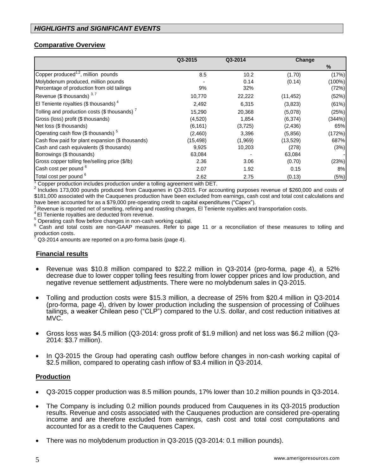### **Comparative Overview**

|                                                   | Q3-2015  | Q3-2014 |           | Change    |  |
|---------------------------------------------------|----------|---------|-----------|-----------|--|
|                                                   |          |         |           | $\%$      |  |
| Copper produced <sup>1,2</sup> , million pounds   | 8.5      | 10.2    | (1.70)    | (17%)     |  |
| Molybdenum produced, million pounds               |          | 0.14    | (0.14)    | $(100\%)$ |  |
| Percentage of production from old tailings        | 9%       | 32%     |           | (72%)     |  |
| Revenue (\$ thousands) $3,7$                      | 10,770   | 22,222  | (11, 452) | (52%)     |  |
| El Teniente royalties (\$ thousands) $4$          | 2,492    | 6,315   | (3,823)   | (61%)     |  |
| Tolling and production costs (\$ thousands) $^7$  | 15,290   | 20,368  | (5,078)   | (25%)     |  |
| Gross (loss) profit (\$ thousands)                | (4,520)  | 1,854   | (6, 374)  | (344%)    |  |
| Net loss (\$ thousands)                           | (6, 161) | (3,725) | (2, 436)  | 65%       |  |
| Operating cash flow (\$ thousands) $5$            | (2,460)  | 3,396   | (5,856)   | (172%)    |  |
| Cash flow paid for plant expansion (\$ thousands) | (15,498) | (1,969) | (13,529)  | 687%      |  |
| Cash and cash equivalents (\$ thousands)          | 9,925    | 10,203  | (278)     | (3%)      |  |
| Borrowings (\$ thousands)                         | 63,084   |         | 63,084    |           |  |
| Gross copper tolling fee/selling price (\$/lb)    | 2.36     | 3.06    | (0.70)    | (23%)     |  |
| Cash cost per pound <sup>6</sup>                  | 2.07     | 1.92    | 0.15      | 8%        |  |
| Total cost per pound <sup>6</sup>                 | 2.62     | 2.75    | (0.13)    | (5%)      |  |

 $1$  Copper production includes production under a tolling agreement with DET.

 $2$  Includes 173,000 pounds produced from Cauquenes in Q3-2015. For accounting purposes revenue of \$260,000 and costs of \$181,000 associated with the Cauquenes production have been excluded from earnings, cash cost and total cost calculations and have been accounted for as a \$79,000 pre-operating credit to capital expenditures ("Capex").

 $3$ Revenue is reported net of smelting, refining and roasting charges, El Teniente royalties and transportation costs.

4 El Teniente royalties are deducted from revenue.

<sup>5</sup> Operating cash flow before changes in non-cash working capital.

<sup>6</sup> Cash and total costs are non-GAAP measures. Refer to page 11 or a reconciliation of these measures to tolling and production costs.

Q3-2014 amounts are reported on a pro-forma basis (page 4).

### **Financial results**

- Revenue was \$10.8 million compared to \$22.2 million in Q3-2014 (pro-forma, page 4), a 52% decrease due to lower copper tolling fees resulting from lower copper prices and low production, and negative revenue settlement adjustments. There were no molybdenum sales in Q3-2015.
- Tolling and production costs were \$15.3 million, a decrease of 25% from \$20.4 million in Q3-2014 (pro-forma, page 4), driven by lower production including the suspension of processing of Colihues tailings, a weaker Chilean peso ("CLP") compared to the U.S. dollar, and cost reduction initiatives at MVC.
- Gross loss was \$4.5 million (Q3-2014: gross profit of \$1.9 million) and net loss was \$6.2 million (Q3- 2014: \$3.7 million).
- In Q3-2015 the Group had operating cash outflow before changes in non-cash working capital of \$2.5 million, compared to operating cash inflow of \$3.4 million in Q3-2014.

#### **Production**

- Q3-2015 copper production was 8.5 million pounds, 17% lower than 10.2 million pounds in Q3-2014.
- The Company is including 0.2 million pounds produced from Cauquenes in its Q3-2015 production results. Revenue and costs associated with the Cauquenes production are considered pre-operating income and are therefore excluded from earnings, cash cost and total cost computations and accounted for as a credit to the Cauquenes Capex.
- There was no molybdenum production in Q3-2015 (Q3-2014: 0.1 million pounds).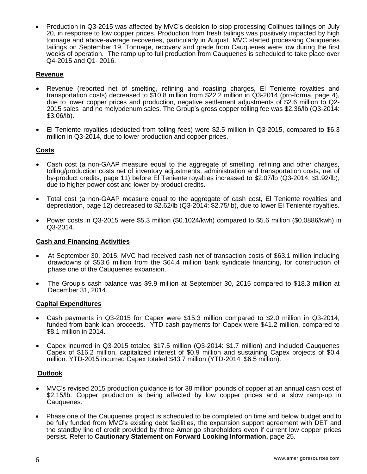Production in Q3-2015 was affected by MVC's decision to stop processing Colihues tailings on July 20, in response to low copper prices. Production from fresh tailings was positively impacted by high tonnage and above-average recoveries, particularly in August. MVC started processing Cauquenes tailings on September 19. Tonnage, recovery and grade from Cauquenes were low during the first weeks of operation. The ramp up to full production from Cauquenes is scheduled to take place over Q4-2015 and Q1- 2016.

### **Revenue**

- Revenue (reported net of smelting, refining and roasting charges, El Teniente royalties and transportation costs) decreased to \$10.8 million from \$22.2 million in Q3-2014 (pro-forma, page 4), due to lower copper prices and production, negative settlement adjustments of \$2.6 million to Q2- 2015 sales and no molybdenum sales. The Group's gross copper tolling fee was \$2.36/lb (Q3-2014: \$3.06/lb).
- El Teniente royalties (deducted from tolling fees) were \$2.5 million in Q3-2015, compared to \$6.3 million in Q3-2014, due to lower production and copper prices.

### **Costs**

- Cash cost (a non-GAAP measure equal to the aggregate of smelting, refining and other charges, tolling/production costs net of inventory adjustments, administration and transportation costs, net of by-product credits, page 11) before El Teniente royalties increased to \$2.07/lb (Q3-2014: \$1.92/lb), due to higher power cost and lower by-product credits.
- Total cost (a non-GAAP measure equal to the aggregate of cash cost, El Teniente royalties and depreciation, page 12) decreased to \$2.62/lb (Q3-2014: \$2.75/lb), due to lower El Teniente royalties.
- Power costs in Q3-2015 were \$5.3 million (\$0.1024/kwh) compared to \$5.6 million (\$0.0886/kwh) in Q3-2014.

#### **Cash and Financing Activities**

- At September 30, 2015, MVC had received cash net of transaction costs of \$63.1 million including drawdowns of \$53.6 million from the \$64.4 million bank syndicate financing, for construction of phase one of the Cauquenes expansion.
- The Group's cash balance was \$9.9 million at September 30, 2015 compared to \$18.3 million at December 31, 2014.

### **Capital Expenditures**

- Cash payments in Q3-2015 for Capex were \$15.3 million compared to \$2.0 million in Q3-2014, funded from bank loan proceeds. YTD cash payments for Capex were \$41.2 million, compared to \$8.1 million in 2014.
- Capex incurred in Q3-2015 totaled \$17.5 million (Q3-2014: \$1.7 million) and included Cauquenes Capex of \$16.2 million, capitalized interest of \$0.9 million and sustaining Capex projects of \$0.4 million. YTD-2015 incurred Capex totaled \$43.7 million (YTD-2014: \$6.5 million).

#### **Outlook**

- MVC's revised 2015 production guidance is for 38 million pounds of copper at an annual cash cost of \$2.15/lb. Copper production is being affected by low copper prices and a slow ramp-up in Cauquenes.
- Phase one of the Cauquenes project is scheduled to be completed on time and below budget and to be fully funded from MVC's existing debt facilities, the expansion support agreement with DET and the standby line of credit provided by three Amerigo shareholders even if current low copper prices persist. Refer to **Cautionary Statement on Forward Looking Information,** page 25.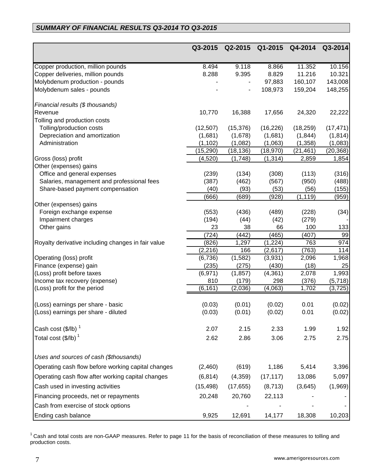# *SUMMARY OF FINANCIAL RESULTS Q3-2014 TO Q3-2015*

|                                                    | Q3-2015        | Q2-2015       | Q1-2015       | Q4-2014        | Q3-2014   |
|----------------------------------------------------|----------------|---------------|---------------|----------------|-----------|
|                                                    |                |               |               |                |           |
| Copper production, million pounds                  | 8.494          | 9.118         | 8.866         | 11.352         | 10.156    |
| Copper deliveries, million pounds                  | 8.288          | 9.395         | 8.829         | 11.216         | 10.321    |
| Molybdenum production - pounds                     |                |               | 97,883        | 160,107        | 143,008   |
| Molybdenum sales - pounds                          |                |               | 108,973       | 159,204        | 148,255   |
| Financial results (\$ thousands)                   |                |               |               |                |           |
| Revenue                                            | 10,770         | 16,388        | 17,656        | 24,320         | 22,222    |
| Tolling and production costs                       |                |               |               |                |           |
| Tolling/production costs                           | (12, 507)      | (15, 376)     | (16, 226)     | (18, 259)      | (17, 471) |
| Depreciation and amortization                      | (1,681)        | (1,678)       | (1,681)       | (1, 844)       | (1, 814)  |
| Administration                                     | (1, 102)       | (1,082)       | (1,063)       | (1, 358)       | (1,083)   |
|                                                    | (15, 290)      | (18, 136)     | (18, 970)     | (21, 461)      | (20, 368) |
| Gross (loss) profit                                | (4,520)        | (1,748)       | (1, 314)      | 2,859          | 1,854     |
| Other (expenses) gains                             |                |               |               |                |           |
| Office and general expenses                        | (239)          | (134)         | (308)         | (113)          | (316)     |
| Salaries, management and professional fees         | (387)          | (462)         | (567)         | (950)          | (488)     |
| Share-based payment compensation                   | (40)           | (93)          | (53)          | (56)           | (155)     |
|                                                    | (666)          | (689)         | (928)         | (1, 119)       | (959)     |
| Other (expenses) gains                             |                |               |               |                |           |
| Foreign exchange expense<br>Impairment charges     | (553)<br>(194) | (436)<br>(44) | (489)<br>(42) | (228)<br>(279) | (34)      |
| Other gains                                        | 23             | 38            | 66            | 100            | 133       |
|                                                    | (724)          | (442)         | (465)         | (407)          | 99        |
| Royalty derivative including changes in fair value | (826)          | 1,297         | (1,224)       | 763            | 974       |
|                                                    | (2, 216)       | 166           | (2,617)       | (763)          | 114       |
| Operating (loss) profit                            | (6,736)        | (1,582)       | (3,931)       | 2,096          | 1,968     |
| Finance (expense) gain                             | (235)          | (275)         | (430)         | (18)           | 25        |
| (Loss) profit before taxes                         | (6, 971)       | (1, 857)      | (4, 361)      | 2,078          | 1,993     |
| Income tax recovery (expense)                      | 810            | (179)         | 298           | (376)          | (5,718)   |
| (Loss) profit for the period                       | (6, 161)       | (2,036)       | (4,063)       | 1,702          | (3, 725)  |
|                                                    |                |               |               |                |           |
| (Loss) earnings per share - basic                  | (0.03)         | (0.01)        | (0.02)        | 0.01           | (0.02)    |
| (Loss) earnings per share - diluted                | (0.03)         | (0.01)        | (0.02)        | 0.01           | (0.02)    |
| Cash cost (\$/lb) $^1$                             | 2.07           | 2.15          | 2.33          | 1.99           | 1.92      |
| Total cost (\$/lb) $^1$                            | 2.62           | 2.86          | 3.06          | 2.75           | 2.75      |
|                                                    |                |               |               |                |           |
| Uses and sources of cash (\$thousands)             |                |               |               |                |           |
| Operating cash flow before working capital changes | (2,460)        | (619)         | 1,186         | 5,414          | 3,396     |
| Operating cash flow after working capital changes  | (6, 814)       | (4,359)       | (17, 117)     | 13,086         | 5,097     |
| Cash used in investing activities                  | (15, 498)      | (17, 655)     | (8, 713)      | (3,645)        | (1,969)   |
| Financing proceeds, net or repayments              | 20,248         | 20,760        | 22,113        |                |           |
| Cash from exercise of stock options                |                |               |               |                |           |
| Ending cash balance                                | 9,925          | 12,691        | 14,177        | 18,308         | 10,203    |

 $1$  Cash and total costs are non-GAAP measures. Refer to page 11 for the basis of reconciliation of these measures to tolling and production costs.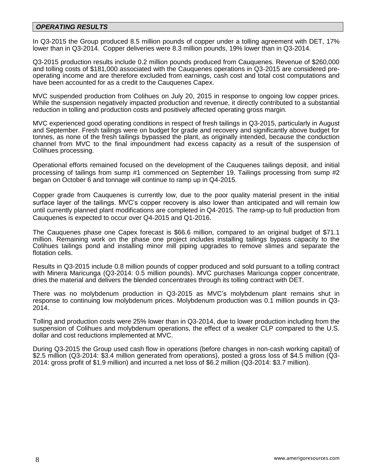### *OPERATING RESULTS*

In Q3-2015 the Group produced 8.5 million pounds of copper under a tolling agreement with DET, 17% lower than in Q3-2014. Copper deliveries were 8.3 million pounds, 19% lower than in Q3-2014.

Q3-2015 production results include 0.2 million pounds produced from Cauquenes. Revenue of \$260,000 and tolling costs of \$181,000 associated with the Cauquenes operations in Q3-2015 are considered preoperating income and are therefore excluded from earnings, cash cost and total cost computations and have been accounted for as a credit to the Cauquenes Capex.

MVC suspended production from Colihues on July 20, 2015 in response to ongoing low copper prices. While the suspension negatively impacted production and revenue, it directly contributed to a substantial reduction in tolling and production costs and positively affected operating gross margin.

MVC experienced good operating conditions in respect of fresh tailings in Q3-2015, particularly in August and September. Fresh tailings were on budget for grade and recovery and significantly above budget for tonnes, as none of the fresh tailings bypassed the plant, as originally intended, because the conduction channel from MVC to the final impoundment had excess capacity as a result of the suspension of Colihues processing.

Operational efforts remained focused on the development of the Cauquenes tailings deposit, and initial processing of tailings from sump #1 commenced on September 19. Tailings processing from sump #2 began on October 6 and tonnage will continue to ramp up in Q4-2015.

Copper grade from Cauquenes is currently low, due to the poor quality material present in the initial surface layer of the tailings. MVC's copper recovery is also lower than anticipated and will remain low until currently planned plant modifications are completed in Q4-2015. The ramp-up to full production from Cauquenes is expected to occur over Q4-2015 and Q1-2016.

The Cauquenes phase one Capex forecast is \$66.6 million, compared to an original budget of \$71.1 million. Remaining work on the phase one project includes installing tailings bypass capacity to the Colihues tailings pond and installing minor mill piping upgrades to remove slimes and separate the flotation cells.

Results in Q3-2015 include 0.8 million pounds of copper produced and sold pursuant to a tolling contract with Minera Maricunga (Q3-2014: 0.5 million pounds). MVC purchases Maricunga copper concentrate, dries the material and delivers the blended concentrates through its tolling contract with DET.

There was no molybdenum production in Q3-2015 as MVC's molybdenum plant remains shut in response to continuing low molybdenum prices. Molybdenum production was 0.1 million pounds in Q3- 2014.

Tolling and production costs were 25% lower than in Q3-2014, due to lower production including from the suspension of Colihues and molybdenum operations, the effect of a weaker CLP compared to the U.S. dollar and cost reductions implemented at MVC.

During Q3-2015 the Group used cash flow in operations (before changes in non-cash working capital) of \$2.5 million (Q3-2014: \$3.4 million generated from operations), posted a gross loss of \$4.5 million (Q3- 2014: gross profit of \$1.9 million) and incurred a net loss of \$6.2 million (Q3-2014: \$3.7 million).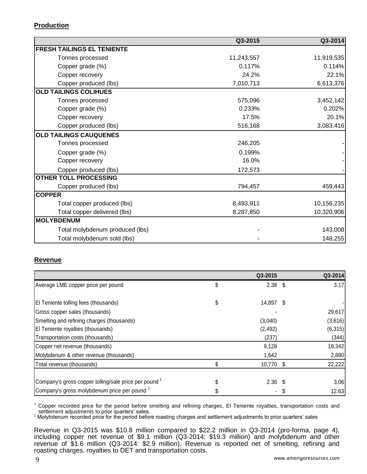### **Production**

|                                   | Q3-2015    | Q3-2014    |
|-----------------------------------|------------|------------|
| <b>FRESH TAILINGS EL TENIENTE</b> |            |            |
| Tonnes processed                  | 11,243,557 | 11,919,535 |
| Copper grade (%)                  | 0.117%     | 0.114%     |
| Copper recovery                   | 24.2%      | 22.1%      |
| Copper produced (lbs)             | 7,010,713  | 6,613,376  |
| <b>OLD TAILINGS COLIHUES</b>      |            |            |
| Tonnes processed                  | 575,096    | 3,452,142  |
| Copper grade (%)                  | 0.233%     | 0.202%     |
| Copper recovery                   | 17.5%      | 20.1%      |
| Copper produced (lbs)             | 516,168    | 3,083,416  |
| <b>OLD TAILINGS CAUQUENES</b>     |            |            |
| Tonnes processed                  | 246,205    |            |
| Copper grade (%)                  | 0.199%     |            |
| Copper recovery                   | 16.0%      |            |
| Copper produced (lbs)             | 172,573    |            |
| <b>OTHER TOLL PROCESSING</b>      |            |            |
| Copper produced (lbs)             | 794,457    | 459,443    |
| <b>COPPER</b>                     |            |            |
| Total copper produced (lbs)       | 8,493,911  | 10,156,235 |
| Total copper delivered (lbs)      | 8,287,850  | 10,320,906 |
| <b>MOLYBDENUM</b>                 |            |            |
| Total molybdenum produced (lbs)   |            | 143,008    |
| Total molybdenum sold (lbs)       |            | 148,255    |

# **Revenue**

|                                                         | Q3-2015         | Q3-2014  |
|---------------------------------------------------------|-----------------|----------|
| Average LME copper price per pound                      | \$<br>$2.38$ \$ | 3.17     |
|                                                         |                 |          |
| El Teniente tolling fees (thousands)                    | \$<br>14,897 \$ |          |
| Gross copper sales (thousands)                          |                 | 29,617   |
| Smelting and refining charges (thousands)               | (3,040)         | (3,616)  |
| El Teniente royalties (thousands)                       | (2, 492)        | (6, 315) |
| Transportation costs (thousands)                        | (237)           | (344)    |
| Copper net revenue (thousands)                          | 9,128           | 19,342   |
| Molybdenum & other revenue (thousands)                  | 1,642           | 2,880    |
| Total revenue (thousands)                               | \$<br>10,770 \$ | 22,222   |
|                                                         |                 |          |
| Company's gross copper tolling/sale price per pound 1   | $2.36$ \$       | 3.06     |
| Company's gross molybdenum price per pound <sup>2</sup> |                 | 12.63    |

 $1$  Copper recorded price for the period before smelting and refining charges, El Teniente royalties, transportation costs and settlement adjustments to prior quarters' sales.

<sup>2</sup> Molybdenum recorded price for the period before roasting charges and settlement adjustments to prior quarters' sales

Revenue in Q3-2015 was \$10.8 million compared to \$22.2 million in Q3-2014 (pro-forma, page 4), including copper net revenue of \$9.1 million (Q3-2014: \$19.3 million) and molybdenum and other revenue of \$1.6 million (Q3-2014: \$2.9 million). Revenue is reported net of smelting, refining and roasting charges, royalties to DET and transportation costs.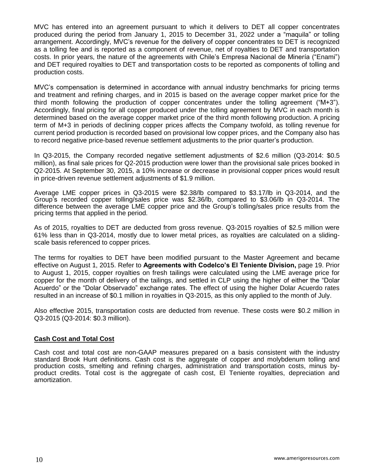MVC has entered into an agreement pursuant to which it delivers to DET all copper concentrates produced during the period from January 1, 2015 to December 31, 2022 under a "maquila" or tolling arrangement. Accordingly, MVC's revenue for the delivery of copper concentrates to DET is recognized as a tolling fee and is reported as a component of revenue, net of royalties to DET and transportation costs. In prior years, the nature of the agreements with Chile's Empresa Nacional de Minería ("Enami") and DET required royalties to DET and transportation costs to be reported as components of tolling and production costs.

MVC's compensation is determined in accordance with annual industry benchmarks for pricing terms and treatment and refining charges, and in 2015 is based on the average copper market price for the third month following the production of copper concentrates under the tolling agreement ("M+3"). Accordingly, final pricing for all copper produced under the tolling agreement by MVC in each month is determined based on the average copper market price of the third month following production. A pricing term of M+3 in periods of declining copper prices affects the Company twofold, as tolling revenue for current period production is recorded based on provisional low copper prices, and the Company also has to record negative price-based revenue settlement adjustments to the prior quarter's production.

In Q3-2015, the Company recorded negative settlement adjustments of \$2.6 million (Q3-2014: \$0.5 million), as final sale prices for Q2-2015 production were lower than the provisional sale prices booked in Q2-2015. At September 30, 2015, a 10% increase or decrease in provisional copper prices would result in price-driven revenue settlement adjustments of \$1.9 million.

Average LME copper prices in Q3-2015 were \$2.38/lb compared to \$3.17/lb in Q3-2014, and the Group's recorded copper tolling/sales price was \$2.36/lb, compared to \$3.06/lb in Q3-2014. The difference between the average LME copper price and the Group's tolling/sales price results from the pricing terms that applied in the period.

As of 2015, royalties to DET are deducted from gross revenue. Q3-2015 royalties of \$2.5 million were 61% less than in Q3-2014, mostly due to lower metal prices, as royalties are calculated on a slidingscale basis referenced to copper prices.

The terms for royalties to DET have been modified pursuant to the Master Agreement and became effective on August 1, 2015. Refer to **Agreements with Codelco's El Teniente Division,** page 19. Prior to August 1, 2015, copper royalties on fresh tailings were calculated using the LME average price for copper for the month of delivery of the tailings, and settled in CLP using the higher of either the "Dolar Acuerdo" or the "Dolar Observado" exchange rates. The effect of using the higher Dolar Acuerdo rates resulted in an increase of \$0.1 million in royalties in Q3-2015, as this only applied to the month of July.

Also effective 2015, transportation costs are deducted from revenue. These costs were \$0.2 million in Q3-2015 (Q3-2014: \$0.3 million).

### **Cash Cost and Total Cost**

Cash cost and total cost are non-GAAP measures prepared on a basis consistent with the industry standard Brook Hunt definitions. Cash cost is the aggregate of copper and molybdenum tolling and production costs, smelting and refining charges, administration and transportation costs, minus byproduct credits. Total cost is the aggregate of cash cost, El Teniente royalties, depreciation and amortization.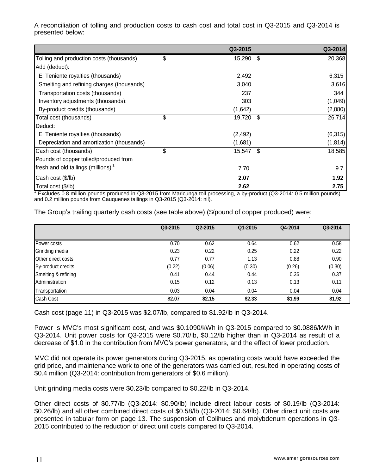A reconciliation of tolling and production costs to cash cost and total cost in Q3-2015 and Q3-2014 is presented below:

|                                           | Q3-2015      |      | Q3-2014  |
|-------------------------------------------|--------------|------|----------|
| Tolling and production costs (thousands)  | \$<br>15,290 | - \$ | 20,368   |
| Add (deduct):                             |              |      |          |
| El Teniente royalties (thousands)         | 2,492        |      | 6,315    |
| Smelting and refining charges (thousands) | 3,040        |      | 3,616    |
| Transportation costs (thousands)          | 237          |      | 344      |
| Inventory adjustments (thousands):        | 303          |      | (1,049)  |
| By-product credits (thousands)            | (1,642)      |      | (2,880)  |
| Total cost (thousands)                    | \$<br>19,720 | - \$ | 26,714   |
| Deduct:                                   |              |      |          |
| El Teniente royalties (thousands)         | (2, 492)     |      | (6,315)  |
| Depreciation and amortization (thousands) | (1,681)      |      | (1, 814) |
| Cash cost (thousands)                     | \$<br>15,547 | - \$ | 18,585   |
| Pounds of copper tolled/produced from     |              |      |          |
| fresh and old tailings (millions) $1$     | 7.70         |      | 9.7      |
| Cash cost (\$/lb)                         | 2.07         |      | 1.92     |
| Total cost (\$/lb)                        | 2.62         |      | 2.75     |

<sup>1</sup> Excludes 0.8 million pounds produced in Q3-2015 from Maricunga toll processing, a by-product (Q3-2014: 0.5 million pounds) and 0.2 million pounds from Cauquenes tailings in Q3-2015 (Q3-2014: nil).

|                           | Q3-2015 | Q2-2015 | Q1-2015 | Q4-2014 | Q3-2014 |
|---------------------------|---------|---------|---------|---------|---------|
|                           |         |         |         |         |         |
| Power costs               | 0.70    | 0.62    | 0.64    | 0.62    | 0.58    |
| Grinding media            | 0.23    | 0.22    | 0.25    | 0.22    | 0.22    |
| <b>Other direct costs</b> | 0.77    | 0.77    | 1.13    | 0.88    | 0.90    |
| By-product credits        | (0.22)  | (0.06)  | (0.30)  | (0.26)  | (0.30)  |
| Smelting & refining       | 0.41    | 0.44    | 0.44    | 0.36    | 0.37    |
| Administration            | 0.15    | 0.12    | 0.13    | 0.13    | 0.11    |
| Transportation            | 0.03    | 0.04    | 0.04    | 0.04    | 0.04    |
| Cash Cost                 | \$2.07  | \$2.15  | \$2.33  | \$1.99  | \$1.92  |

The Group's trailing quarterly cash costs (see table above) (\$/pound of copper produced) were:

Cash cost (page 11) in Q3-2015 was \$2.07/lb, compared to \$1.92/lb in Q3-2014.

Power is MVC's most significant cost, and was \$0.1090/kWh in Q3-2015 compared to \$0.0886/kWh in Q3-2014. Unit power costs for Q3-2015 were \$0.70/lb, \$0.12/lb higher than in Q3-2014 as result of a decrease of \$1.0 in the contribution from MVC's power generators, and the effect of lower production.

MVC did not operate its power generators during Q3-2015, as operating costs would have exceeded the grid price, and maintenance work to one of the generators was carried out, resulted in operating costs of \$0.4 million (Q3-2014: contribution from generators of \$0.6 million).

Unit grinding media costs were \$0.23/lb compared to \$0.22/lb in Q3-2014.

Other direct costs of \$0.77/lb (Q3-2014: \$0.90/lb) include direct labour costs of \$0.19/lb (Q3-2014: \$0.26/lb) and all other combined direct costs of \$0.58/lb (Q3-2014: \$0.64/lb). Other direct unit costs are presented in tabular form on page 13. The suspension of Colihues and molybdenum operations in Q3- 2015 contributed to the reduction of direct unit costs compared to Q3-2014.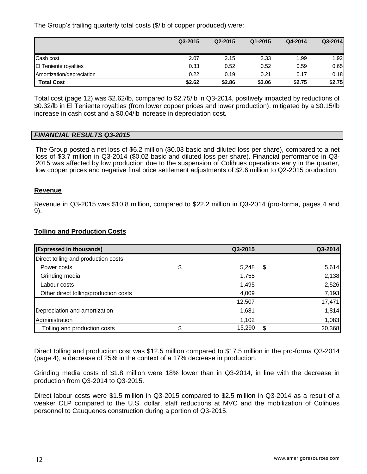The Group's trailing quarterly total costs (\$/lb of copper produced) were:

|                              | Q3-2015 | Q2-2015 | Q1-2015 | Q4-2014 | Q3-2014 |
|------------------------------|---------|---------|---------|---------|---------|
| Cash cost                    | 2.07    | 2.15    | 2.33    | 1.99    | 1.92    |
| <b>El Teniente royalties</b> | 0.33    | 0.52    | 0.52    | 0.59    | 0.65    |
| Amortization/depreciation    | 0.22    | 0.19    | 0.21    | 0.17    | 0.18    |
| <b>Total Cost</b>            | \$2.62  | \$2.86  | \$3.06  | \$2.75  | \$2.75  |

Total cost (page 12) was \$2.62/lb, compared to \$2.75/lb in Q3-2014, positively impacted by reductions of \$0.32/lb in El Teniente royalties (from lower copper prices and lower production), mitigated by a \$0.15/lb increase in cash cost and a \$0.04/lb increase in depreciation cost.

#### *FINANCIAL RESULTS Q3-2015*

The Group posted a net loss of \$6.2 million (\$0.03 basic and diluted loss per share), compared to a net loss of \$3.7 million in Q3-2014 (\$0.02 basic and diluted loss per share). Financial performance in Q3- 2015 was affected by low production due to the suspension of Colihues operations early in the quarter, low copper prices and negative final price settlement adjustments of \$2.6 million to Q2-2015 production.

#### **Revenue**

Revenue in Q3-2015 was \$10.8 million, compared to \$22.2 million in Q3-2014 (pro-forma, pages 4 and 9).

#### **Tolling and Production Costs**

| (Expressed in thousands)              |    | Q3-2015 | Q3-2014      |
|---------------------------------------|----|---------|--------------|
| Direct tolling and production costs   |    |         |              |
| Power costs                           | \$ | 5,248   | \$<br>5,614  |
| Grinding media                        |    | 1,755   | 2,138        |
| Labour costs                          |    | 1,495   | 2,526        |
| Other direct tolling/production costs |    | 4,009   | 7,193        |
|                                       |    | 12,507  | 17,471       |
| Depreciation and amortization         |    | 1,681   | 1,814        |
| Administration                        |    | 1,102   | 1,083        |
| Tolling and production costs          | S  | 15,290  | \$<br>20,368 |

Direct tolling and production cost was \$12.5 million compared to \$17.5 million in the pro-forma Q3-2014 (page 4), a decrease of 25% in the context of a 17% decrease in production.

Grinding media costs of \$1.8 million were 18% lower than in Q3-2014, in line with the decrease in production from Q3-2014 to Q3-2015.

Direct labour costs were \$1.5 million in Q3-2015 compared to \$2.5 million in Q3-2014 as a result of a weaker CLP compared to the U.S. dollar, staff reductions at MVC and the mobilization of Colihues personnel to Cauquenes construction during a portion of Q3-2015.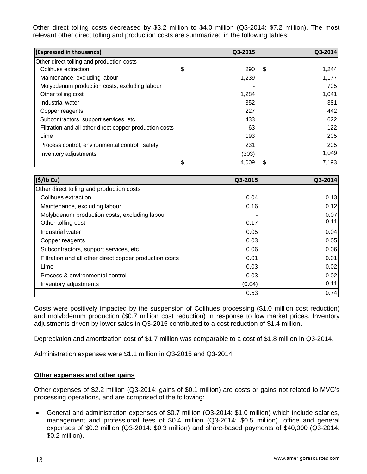Other direct tolling costs decreased by \$3.2 million to \$4.0 million (Q3-2014: \$7.2 million). The most relevant other direct tolling and production costs are summarized in the following tables:

| (Expressed in thousands)                                | Q3-2015     |      | Q3-2014 |
|---------------------------------------------------------|-------------|------|---------|
| Other direct tolling and production costs               |             |      |         |
| Colihues extraction                                     | \$<br>290   | - \$ | 1,244   |
| Maintenance, excluding labour                           | 1,239       |      | 1,177   |
| Molybdenum production costs, excluding labour           |             |      | 705     |
| Other tolling cost                                      | 1,284       |      | 1,041   |
| Industrial water                                        | 352         |      | 381     |
| Copper reagents                                         | 227         |      | 442     |
| Subcontractors, support services, etc.                  | 433         |      | 622     |
| Filtration and all other direct copper production costs | 63          |      | 122     |
| Lime                                                    | 193         |      | 205     |
| Process control, environmental control, safety          | 231         |      | 205     |
| Inventory adjustments                                   | (303)       |      | 1,049   |
|                                                         | \$<br>4,009 | \$   | 7,193   |

| (S/lb Cu)                                               | Q3-2015 | Q3-2014 |
|---------------------------------------------------------|---------|---------|
| Other direct tolling and production costs               |         |         |
| Colihues extraction                                     | 0.04    | 0.13    |
| Maintenance, excluding labour                           | 0.16    | 0.12    |
| Molybdenum production costs, excluding labour           |         | 0.07    |
| Other tolling cost                                      | 0.17    | 0.11    |
| Industrial water                                        | 0.05    | 0.04    |
| Copper reagents                                         | 0.03    | 0.05    |
| Subcontractors, support services, etc.                  | 0.06    | 0.06    |
| Filtration and all other direct copper production costs | 0.01    | 0.01    |
| Lime                                                    | 0.03    | 0.02    |
| Process & environmental control                         | 0.03    | 0.02    |
| Inventory adjustments                                   | (0.04)  | 0.11    |
|                                                         | 0.53    | 0.74    |

Costs were positively impacted by the suspension of Colihues processing (\$1.0 million cost reduction) and molybdenum production (\$0.7 million cost reduction) in response to low market prices. Inventory adjustments driven by lower sales in Q3-2015 contributed to a cost reduction of \$1.4 million.

Depreciation and amortization cost of \$1.7 million was comparable to a cost of \$1.8 million in Q3-2014.

Administration expenses were \$1.1 million in Q3-2015 and Q3-2014.

### **Other expenses and other gains**

Other expenses of \$2.2 million (Q3-2014: gains of \$0.1 million) are costs or gains not related to MVC's processing operations, and are comprised of the following:

 General and administration expenses of \$0.7 million (Q3-2014: \$1.0 million) which include salaries, management and professional fees of \$0.4 million (Q3-2014: \$0.5 million), office and general expenses of \$0.2 million (Q3-2014: \$0.3 million) and share-based payments of \$40,000 (Q3-2014: \$0.2 million).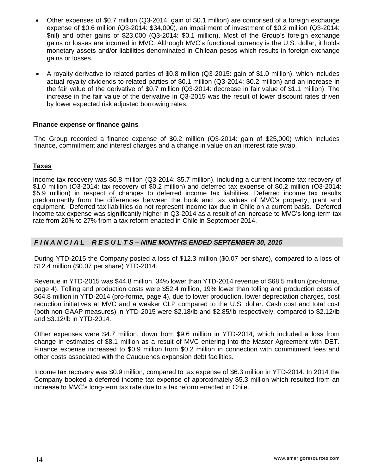- Other expenses of \$0.7 million (Q3-2014: gain of \$0.1 million) are comprised of a foreign exchange expense of \$0.6 million (Q3-2014: \$34,000), an impairment of investment of \$0.2 million (Q3-2014: \$nil) and other gains of \$23,000 (Q3-2014: \$0.1 million). Most of the Group's foreign exchange gains or losses are incurred in MVC. Although MVC's functional currency is the U.S. dollar, it holds monetary assets and/or liabilities denominated in Chilean pesos which results in foreign exchange gains or losses.
- A royalty derivative to related parties of \$0.8 million (Q3-2015: gain of \$1.0 million), which includes actual royalty dividends to related parties of \$0.1 million (Q3-2014: \$0.2 million) and an increase in the fair value of the derivative of \$0.7 million (Q3-2014: decrease in fair value of \$1.1 million). The increase in the fair value of the derivative in Q3-2015 was the result of lower discount rates driven by lower expected risk adjusted borrowing rates.

### **Finance expense or finance gains**

The Group recorded a finance expense of \$0.2 million (Q3-2014: gain of \$25,000) which includes finance, commitment and interest charges and a change in value on an interest rate swap.

### **Taxes**

Income tax recovery was \$0.8 million (Q3-2014: \$5.7 million), including a current income tax recovery of \$1.0 million (Q3-2014: tax recovery of \$0.2 million) and deferred tax expense of \$0.2 million (Q3-2014: \$5.9 million) in respect of changes to deferred income tax liabilities. Deferred income tax results predominantly from the differences between the book and tax values of MVC's property, plant and equipment. Deferred tax liabilities do not represent income tax due in Chile on a current basis. Deferred income tax expense was significantly higher in Q3-2014 as a result of an increase to MVC's long-term tax rate from 20% to 27% from a tax reform enacted in Chile in September 2014.

### *F I N A N C I A L R E S U L T S – NINE MONTHS ENDED SEPTEMBER 30, 2015*

During YTD-2015 the Company posted a loss of \$12.3 million (\$0.07 per share), compared to a loss of \$12.4 million (\$0.07 per share) YTD-2014.

Revenue in YTD-2015 was \$44.8 million, 34% lower than YTD-2014 revenue of \$68.5 million (pro-forma, page 4). Tolling and production costs were \$52.4 million, 19% lower than tolling and production costs of \$64.8 million in YTD-2014 (pro-forma, page 4), due to lower production, lower depreciation charges, cost reduction initiatives at MVC and a weaker CLP compared to the U.S. dollar. Cash cost and total cost (both non-GAAP measures) in YTD-2015 were \$2.18/lb and \$2.85/lb respectively, compared to \$2.12/lb and \$3.12/lb in YTD-2014.

Other expenses were \$4.7 million, down from \$9.6 million in YTD-2014, which included a loss from change in estimates of \$8.1 million as a result of MVC entering into the Master Agreement with DET. Finance expense increased to \$0.9 million from \$0.2 million in connection with commitment fees and other costs associated with the Cauquenes expansion debt facilities.

Income tax recovery was \$0.9 million, compared to tax expense of \$6.3 million in YTD-2014. In 2014 the Company booked a deferred income tax expense of approximately \$5.3 million which resulted from an increase to MVC's long-term tax rate due to a tax reform enacted in Chile.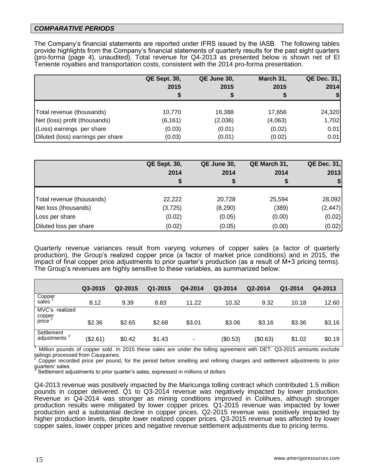### *COMPARATIVE PERIODS*

The Company's financial statements are reported under IFRS issued by the IASB. The following tables provide highlights from the Company's financial statements of quarterly results for the past eight quarters (pro-forma (page 4), unaudited). Total revenue for Q4-2013 as presented below is shown net of El Teniente royalties and transportation costs, consistent with the 2014 pro-forma presentation.

|                                   | <b>QE Sept. 30,</b> | QE June 30, | March 31, | <b>QE Dec. 31,</b> |
|-----------------------------------|---------------------|-------------|-----------|--------------------|
|                                   | 2015                | 2015        | 2015      | 2014               |
|                                   |                     |             |           |                    |
| Total revenue (thousands)         | 10,770              | 16,388      | 17,656    | 24,320             |
| Net (loss) profit (thousands)     | (6, 161)            | (2,036)     | (4,063)   | 1,702              |
| (Loss) earnings per share         | (0.03)              | (0.01)      | (0.02)    | 0.01               |
| Diluted (loss) earnings per share | (0.03)              | (0.01)      | (0.02)    | 0.01               |

|                           | <b>QE Sept. 30,</b><br>2014 | QE June 30,<br>2014 | QE March 31,<br>2014 | <b>QE Dec. 31,</b><br>2013 |
|---------------------------|-----------------------------|---------------------|----------------------|----------------------------|
|                           |                             | S                   |                      | $\boldsymbol{\mathsf{s}}$  |
| Total revenue (thousands) | 22,222                      | 20,728              | 25,594               | 28,092                     |
| Net loss (thousands)      | (3,725)                     | (8,290)             | (389)                | (2, 447)                   |
| Loss per share            | (0.02)                      | (0.05)              | (0.00)               | (0.02)                     |
| Diluted loss per share    | (0.02)                      | (0.05)              | (0.00)               | (0.02)                     |

Quarterly revenue variances result from varying volumes of copper sales (a factor of quarterly production), the Group's realized copper price (a factor of market price conditions) and in 2015, the impact of final copper price adjustments to prior quarter's production (as a result of M+3 pricing terms). The Group's revenues are highly sensitive to these variables, as summarized below:

|                                                | Q3-2015  | Q2-2015 | Q1-2015 | Q4-2014 | Q3-2014  | Q2-2014  | Q1-2014 | Q4-2013 |
|------------------------------------------------|----------|---------|---------|---------|----------|----------|---------|---------|
| Copper<br>sales                                | 8.12     | 9.39    | 8.83    | 11.22   | 10.32    | 9.32     | 10.18   | 12.60   |
| MVC's realized<br>copper<br>price <sup>2</sup> | \$2.36   | \$2.65  | \$2.68  | \$3.01  | \$3.06   | \$3.16   | \$3.36  | \$3.16  |
| Settlement<br>adjustments <sup>3</sup>         | (\$2.61) | \$0.42  | \$1.43  |         | (\$0.53) | (\$0.63) | \$1.02  | \$0.19  |

Million pounds of copper sold. In 2015 these sales are under the tolling agreement with DET. Q3-2015 amounts exclude tailings processed from Cauquenes.

<sup>2</sup> Copper recorded price per pound, for the period before smelting and refining charges and settlement adjustments to prior guarters' sales.<br><sup>3</sup> Settlement ad

Settlement adjustments to prior quarter's sales, expressed in millions of dollars

Q4-2013 revenue was positively impacted by the Maricunga tolling contract which contributed 1.5 million pounds in copper delivered. Q1 to Q3-2014 revenue was negatively impacted by lower production. Revenue in Q4-2014 was stronger as mining conditions improved in Colihues, although stronger production results were mitigated by lower copper prices. Q1-2015 revenue was impacted by lower production and a substantial decline in copper prices. Q2-2015 revenue was positively impacted by higher production levels, despite lower realized copper prices. Q3-2015 revenue was affected by lower copper sales, lower copper prices and negative revenue settlement adjustments due to pricing terms.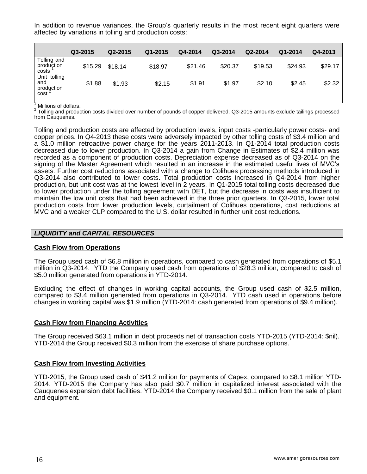In addition to revenue variances, the Group's quarterly results in the most recent eight quarters were affected by variations in tolling and production costs:

|                                                        | Q3-2015 | Q2-2015 | Q1-2015 | Q4-2014 | Q3-2014 | Q2-2014 | Q1-2014 | Q4-2013 |
|--------------------------------------------------------|---------|---------|---------|---------|---------|---------|---------|---------|
| Tolling and<br>produçtion<br>costs                     | \$15.29 | \$18.14 | \$18.97 | \$21.46 | \$20.37 | \$19.53 | \$24.93 | \$29.17 |
| Unit tolling<br>and<br>production<br>cost <sup>2</sup> | \$1.88  | \$1.93  | \$2.15  | \$1.91  | \$1.97  | \$2.10  | \$2.45  | \$2.32  |

Millions of dollars.

2 Tolling and production costs divided over number of pounds of copper delivered. Q3-2015 amounts exclude tailings processed from Cauquenes.

Tolling and production costs are affected by production levels, input costs -particularly power costs- and copper prices. In Q4-2013 these costs were adversely impacted by other tolling costs of \$3.4 million and a \$1.0 million retroactive power charge for the years 2011-2013. In Q1-2014 total production costs decreased due to lower production. In Q3-2014 a gain from Change in Estimates of \$2.4 million was recorded as a component of production costs. Depreciation expense decreased as of Q3-2014 on the signing of the Master Agreement which resulted in an increase in the estimated useful lives of MVC's assets. Further cost reductions associated with a change to Colihues processing methods introduced in Q3-2014 also contributed to lower costs. Total production costs increased in Q4-2014 from higher production, but unit cost was at the lowest level in 2 years. In Q1-2015 total tolling costs decreased due to lower production under the tolling agreement with DET, but the decrease in costs was insufficient to maintain the low unit costs that had been achieved in the three prior quarters. In Q3-2015, lower total production costs from lower production levels, curtailment of Colihues operations, cost reductions at MVC and a weaker CLP compared to the U.S. dollar resulted in further unit cost reductions.

### *LIQUIDITY and CAPITAL RESOURCES*

#### **Cash Flow from Operations**

The Group used cash of \$6.8 million in operations, compared to cash generated from operations of \$5.1 million in Q3-2014. YTD the Company used cash from operations of \$28.3 million, compared to cash of \$5.0 million generated from operations in YTD-2014.

Excluding the effect of changes in working capital accounts, the Group used cash of \$2.5 million, compared to \$3.4 million generated from operations in Q3-2014. YTD cash used in operations before changes in working capital was \$1.9 million (YTD-2014: cash generated from operations of \$9.4 million).

#### **Cash Flow from Financing Activities**

The Group received \$63.1 million in debt proceeds net of transaction costs YTD-2015 (YTD-2014: \$nil). YTD-2014 the Group received \$0.3 million from the exercise of share purchase options.

#### **Cash Flow from Investing Activities**

YTD-2015, the Group used cash of \$41.2 million for payments of Capex, compared to \$8.1 million YTD-2014. YTD-2015 the Company has also paid \$0.7 million in capitalized interest associated with the Cauquenes expansion debt facilities. YTD-2014 the Company received \$0.1 million from the sale of plant and equipment.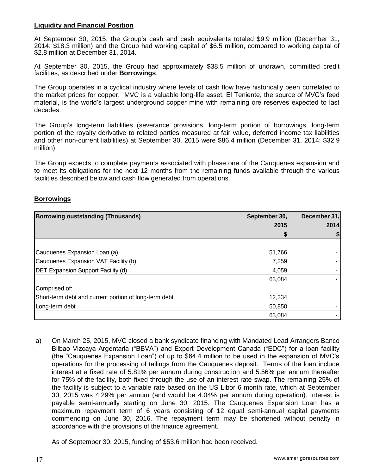### **Liquidity and Financial Position**

At September 30, 2015, the Group's cash and cash equivalents totaled \$9.9 million (December 31, 2014: \$18.3 million) and the Group had working capital of \$6.5 million, compared to working capital of \$2.8 million at December 31, 2014.

At September 30, 2015, the Group had approximately \$38.5 million of undrawn, committed credit facilities, as described under **Borrowings**.

The Group operates in a cyclical industry where levels of cash flow have historically been correlated to the market prices for copper. MVC is a valuable long-life asset. El Teniente, the source of MVC's feed material, is the world's largest underground copper mine with remaining ore reserves expected to last decades.

The Group's long-term liabilities (severance provisions, long-term portion of borrowings, long-term portion of the royalty derivative to related parties measured at fair value, deferred income tax liabilities and other non-current liabilities) at September 30, 2015 were \$86.4 million (December 31, 2014: \$32.9 million).

The Group expects to complete payments associated with phase one of the Cauquenes expansion and to meet its obligations for the next 12 months from the remaining funds available through the various facilities described below and cash flow generated from operations.

### **Borrowings**

| <b>Borrowing ouststanding (Thousands)</b>             | September 30, | December 31, |  |
|-------------------------------------------------------|---------------|--------------|--|
|                                                       | 2015          | 2014         |  |
|                                                       |               |              |  |
|                                                       |               |              |  |
| Cauquenes Expansion Loan (a)                          | 51,766        |              |  |
| Cauquenes Expansion VAT Facility (b)                  | 7,259         |              |  |
| <b>DET Expansion Support Facility (d)</b>             | 4,059         |              |  |
|                                                       | 63,084        |              |  |
| Comprised of:                                         |               |              |  |
| Short-term debt and current portion of long-term debt | 12,234        |              |  |
| Long-term debt                                        | 50,850        |              |  |
|                                                       | 63,084        |              |  |

a) On March 25, 2015, MVC closed a bank syndicate financing with Mandated Lead Arrangers Banco Bilbao Vizcaya Argentaria ("BBVA") and Export Development Canada ("EDC") for a loan facility (the "Cauquenes Expansion Loan") of up to \$64.4 million to be used in the expansion of MVC's operations for the processing of tailings from the Cauquenes deposit. Terms of the loan include interest at a fixed rate of 5.81% per annum during construction and 5.56% per annum thereafter for 75% of the facility, both fixed through the use of an interest rate swap. The remaining 25% of the facility is subject to a variable rate based on the US Libor 6 month rate, which at September 30, 2015 was 4.29% per annum (and would be 4.04% per annum during operation). Interest is payable semi-annually starting on June 30, 2015. The Cauquenes Expansion Loan has a maximum repayment term of 6 years consisting of 12 equal semi-annual capital payments commencing on June 30, 2016. The repayment term may be shortened without penalty in accordance with the provisions of the finance agreement.

As of September 30, 2015, funding of \$53.6 million had been received.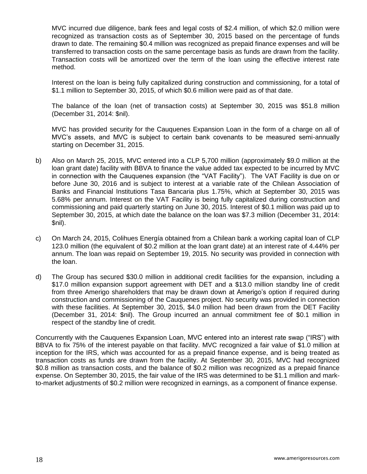MVC incurred due diligence, bank fees and legal costs of \$2.4 million, of which \$2.0 million were recognized as transaction costs as of September 30, 2015 based on the percentage of funds drawn to date. The remaining \$0.4 million was recognized as prepaid finance expenses and will be transferred to transaction costs on the same percentage basis as funds are drawn from the facility. Transaction costs will be amortized over the term of the loan using the effective interest rate method.

Interest on the loan is being fully capitalized during construction and commissioning, for a total of \$1.1 million to September 30, 2015, of which \$0.6 million were paid as of that date.

The balance of the loan (net of transaction costs) at September 30, 2015 was \$51.8 million (December 31, 2014: \$nil).

MVC has provided security for the Cauquenes Expansion Loan in the form of a charge on all of MVC's assets, and MVC is subject to certain bank covenants to be measured semi-annually starting on December 31, 2015.

- b) Also on March 25, 2015, MVC entered into a CLP 5,700 million (approximately \$9.0 million at the loan grant date) facility with BBVA to finance the value added tax expected to be incurred by MVC in connection with the Cauquenes expansion (the "VAT Facility"). The VAT Facility is due on or before June 30, 2016 and is subject to interest at a variable rate of the Chilean Association of Banks and Financial Institutions Tasa Bancaria plus 1.75%, which at September 30, 2015 was 5.68% per annum. Interest on the VAT Facility is being fully capitalized during construction and commissioning and paid quarterly starting on June 30, 2015. Interest of \$0.1 million was paid up to September 30, 2015, at which date the balance on the loan was \$7.3 million (December 31, 2014: \$nil).
- c) On March 24, 2015, Colihues Energía obtained from a Chilean bank a working capital loan of CLP 123.0 million (the equivalent of \$0.2 million at the loan grant date) at an interest rate of 4.44% per annum. The loan was repaid on September 19, 2015. No security was provided in connection with the loan.
- d) The Group has secured \$30.0 million in additional credit facilities for the expansion, including a \$17.0 million expansion support agreement with DET and a \$13.0 million standby line of credit from three Amerigo shareholders that may be drawn down at Amerigo's option if required during construction and commissioning of the Cauquenes project. No security was provided in connection with these facilities. At September 30, 2015, \$4.0 million had been drawn from the DET Facility (December 31, 2014: \$nil). The Group incurred an annual commitment fee of \$0.1 million in respect of the standby line of credit.

Concurrently with the Cauquenes Expansion Loan, MVC entered into an interest rate swap ("IRS") with BBVA to fix 75% of the interest payable on that facility. MVC recognized a fair value of \$1.0 million at inception for the IRS, which was accounted for as a prepaid finance expense, and is being treated as transaction costs as funds are drawn from the facility. At September 30, 2015, MVC had recognized \$0.8 million as transaction costs, and the balance of \$0.2 million was recognized as a prepaid finance expense. On September 30, 2015, the fair value of the IRS was determined to be \$1.1 million and markto-market adjustments of \$0.2 million were recognized in earnings, as a component of finance expense.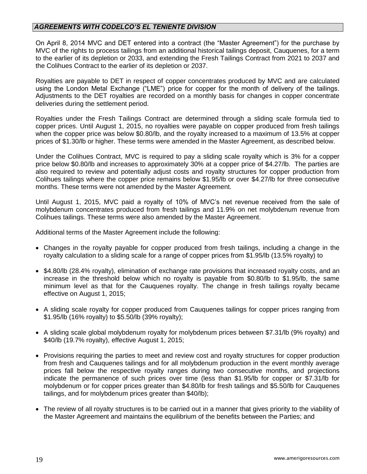### *AGREEMENTS WITH CODELCO'S EL TENIENTE DIVISION*

On April 8, 2014 MVC and DET entered into a contract (the "Master Agreement") for the purchase by MVC of the rights to process tailings from an additional historical tailings deposit, Cauquenes, for a term to the earlier of its depletion or 2033, and extending the Fresh Tailings Contract from 2021 to 2037 and the Colihues Contract to the earlier of its depletion or 2037.

Royalties are payable to DET in respect of copper concentrates produced by MVC and are calculated using the London Metal Exchange ("LME") price for copper for the month of delivery of the tailings. Adjustments to the DET royalties are recorded on a monthly basis for changes in copper concentrate deliveries during the settlement period.

Royalties under the Fresh Tailings Contract are determined through a sliding scale formula tied to copper prices. Until August 1, 2015, no royalties were payable on copper produced from fresh tailings when the copper price was below \$0.80/lb, and the royalty increased to a maximum of 13.5% at copper prices of \$1.30/lb or higher. These terms were amended in the Master Agreement, as described below.

Under the Colihues Contract, MVC is required to pay a sliding scale royalty which is 3% for a copper price below \$0.80/lb and increases to approximately 30% at a copper price of \$4.27/lb. The parties are also required to review and potentially adjust costs and royalty structures for copper production from Colihues tailings where the copper price remains below \$1.95/lb or over \$4.27/lb for three consecutive months. These terms were not amended by the Master Agreement.

Until August 1, 2015, MVC paid a royalty of 10% of MVC's net revenue received from the sale of molybdenum concentrates produced from fresh tailings and 11.9% on net molybdenum revenue from Colihues tailings. These terms were also amended by the Master Agreement.

Additional terms of the Master Agreement include the following:

- Changes in the royalty payable for copper produced from fresh tailings, including a change in the royalty calculation to a sliding scale for a range of copper prices from \$1.95/lb (13.5% royalty) to
- \$4.80/lb (28.4% royalty), elimination of exchange rate provisions that increased royalty costs, and an increase in the threshold below which no royalty is payable from \$0.80/lb to \$1.95/lb, the same minimum level as that for the Cauquenes royalty. The change in fresh tailings royalty became effective on August 1, 2015;
- A sliding scale royalty for copper produced from Cauquenes tailings for copper prices ranging from \$1.95/lb (16% royalty) to \$5.50/lb (39% royalty);
- A sliding scale global molybdenum royalty for molybdenum prices between \$7.31/lb (9% royalty) and \$40/lb (19.7% royalty), effective August 1, 2015;
- Provisions requiring the parties to meet and review cost and royalty structures for copper production from fresh and Cauquenes tailings and for all molybdenum production in the event monthly average prices fall below the respective royalty ranges during two consecutive months, and projections indicate the permanence of such prices over time (less than \$1.95/lb for copper or \$7.31/lb for molybdenum or for copper prices greater than \$4.80/lb for fresh tailings and \$5.50/lb for Cauquenes tailings, and for molybdenum prices greater than \$40/lb);
- The review of all royalty structures is to be carried out in a manner that gives priority to the viability of the Master Agreement and maintains the equilibrium of the benefits between the Parties; and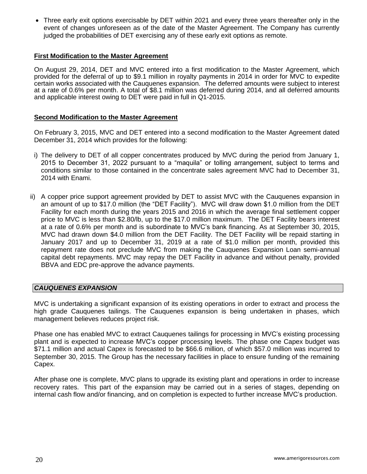Three early exit options exercisable by DET within 2021 and every three years thereafter only in the event of changes unforeseen as of the date of the Master Agreement. The Company has currently judged the probabilities of DET exercising any of these early exit options as remote.

### **First Modification to the Master Agreement**

On August 29, 2014, DET and MVC entered into a first modification to the Master Agreement, which provided for the deferral of up to \$9.1 million in royalty payments in 2014 in order for MVC to expedite certain works associated with the Cauquenes expansion. The deferred amounts were subject to interest at a rate of 0.6% per month. A total of \$8.1 million was deferred during 2014, and all deferred amounts and applicable interest owing to DET were paid in full in Q1-2015.

#### **Second Modification to the Master Agreement**

On February 3, 2015, MVC and DET entered into a second modification to the Master Agreement dated December 31, 2014 which provides for the following:

- i) The delivery to DET of all copper concentrates produced by MVC during the period from January 1, 2015 to December 31, 2022 pursuant to a "maquila" or tolling arrangement, subject to terms and conditions similar to those contained in the concentrate sales agreement MVC had to December 31, 2014 with Enami.
- ii) A copper price support agreement provided by DET to assist MVC with the Cauquenes expansion in an amount of up to \$17.0 million (the "DET Facility"). MVC will draw down \$1.0 million from the DET Facility for each month during the years 2015 and 2016 in which the average final settlement copper price to MVC is less than \$2.80/lb, up to the \$17.0 million maximum. The DET Facility bears interest at a rate of 0.6% per month and is subordinate to MVC's bank financing. As at September 30, 2015, MVC had drawn down \$4.0 million from the DET Facility. The DET Facility will be repaid starting in January 2017 and up to December 31, 2019 at a rate of \$1.0 million per month, provided this repayment rate does not preclude MVC from making the Cauquenes Expansion Loan semi-annual capital debt repayments. MVC may repay the DET Facility in advance and without penalty, provided BBVA and EDC pre-approve the advance payments.

### *CAUQUENES EXPANSION*

MVC is undertaking a significant expansion of its existing operations in order to extract and process the high grade Cauquenes tailings. The Cauquenes expansion is being undertaken in phases, which management believes reduces project risk.

Phase one has enabled MVC to extract Cauquenes tailings for processing in MVC's existing processing plant and is expected to increase MVC's copper processing levels. The phase one Capex budget was \$71.1 million and actual Capex is forecasted to be \$66.6 million, of which \$57.0 million was incurred to September 30, 2015. The Group has the necessary facilities in place to ensure funding of the remaining Capex.

After phase one is complete, MVC plans to upgrade its existing plant and operations in order to increase recovery rates. This part of the expansion may be carried out in a series of stages, depending on internal cash flow and/or financing, and on completion is expected to further increase MVC's production.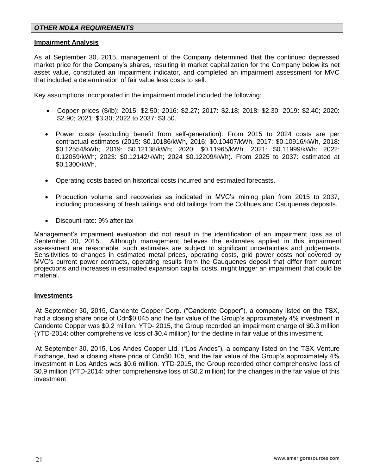### *OTHER MD&A REQUIREMENTS*

#### **Impairment Analysis**

As at September 30, 2015, management of the Company determined that the continued depressed market price for the Company's shares, resulting in market capitalization for the Company below its net asset value, constituted an impairment indicator, and completed an impairment assessment for MVC that included a determination of fair value less costs to sell.

Key assumptions incorporated in the impairment model included the following:

- Copper prices (\$/lb): 2015: \$2.50; 2016: \$2.27; 2017: \$2.18; 2018: \$2.30; 2019: \$2.40; 2020: \$2.90; 2021: \$3.30; 2022 to 2037: \$3.50.
- Power costs (excluding benefit from self-generation): From 2015 to 2024 costs are per contractual estimates (2015: \$0.10186/kWh, 2016: \$0.10407/kWh, 2017: \$0.10916/kWh, 2018: \$0.12554/kWh; 2019: \$0.12138/kWh; 2020: \$0.11965/kWh; 2021: \$0.11999/kWh: 2022: 0.12059/kWh; 2023: \$0.12142/kWh; 2024 \$0.12209/kWh). From 2025 to 2037: estimated at \$0.1300/kWh.
- Operating costs based on historical costs incurred and estimated forecasts.
- Production volume and recoveries as indicated in MVC's mining plan from 2015 to 2037, including processing of fresh tailings and old tailings from the Colihues and Cauquenes deposits.
- Discount rate: 9% after tax

Management's impairment evaluation did not result in the identification of an impairment loss as of Management<br>September 30, 2015. Although management believes the estimates applied in this impairment Although management believes the estimates applied in this impairment assessment are reasonable, such estimates are subject to significant uncertainties and judgements. Sensitivities to changes in estimated metal prices, operating costs, grid power costs not covered by MVC's current power contracts, operating results from the Cauquenes deposit that differ from current projections and increases in estimated expansion capital costs, might trigger an impairment that could be material.

#### **Investments**

At September 30, 2015, Candente Copper Corp. ("Candente Copper"), a company listed on the TSX, had a closing share price of Cdn\$0.045 and the fair value of the Group's approximately 4% investment in Candente Copper was \$0.2 million. YTD- 2015, the Group recorded an impairment charge of \$0.3 million (YTD-2014: other comprehensive loss of \$0.4 million) for the decline in fair value of this investment.

At September 30, 2015, Los Andes Copper Ltd. ("Los Andes"), a company listed on the TSX Venture Exchange, had a closing share price of Cdn\$0.105, and the fair value of the Group's approximately 4% investment in Los Andes was \$0.6 million. YTD-2015, the Group recorded other comprehensive loss of \$0.9 million (YTD-2014: other comprehensive loss of \$0.2 million) for the changes in the fair value of this investment.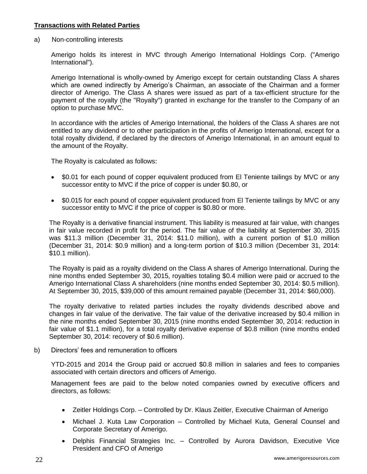### **Transactions with Related Parties**

a) Non-controlling interests

Amerigo holds its interest in MVC through Amerigo International Holdings Corp. ("Amerigo International").

Amerigo International is wholly-owned by Amerigo except for certain outstanding Class A shares which are owned indirectly by Amerigo's Chairman, an associate of the Chairman and a former director of Amerigo. The Class A shares were issued as part of a tax-efficient structure for the payment of the royalty (the "Royalty") granted in exchange for the transfer to the Company of an option to purchase MVC.

In accordance with the articles of Amerigo International, the holders of the Class A shares are not entitled to any dividend or to other participation in the profits of Amerigo International, except for a total royalty dividend, if declared by the directors of Amerigo International, in an amount equal to the amount of the Royalty.

The Royalty is calculated as follows:

- \$0.01 for each pound of copper equivalent produced from El Teniente tailings by MVC or any successor entity to MVC if the price of copper is under \$0.80, or
- \$0.015 for each pound of copper equivalent produced from El Teniente tailings by MVC or any successor entity to MVC if the price of copper is \$0.80 or more.

The Royalty is a derivative financial instrument. This liability is measured at fair value, with changes in fair value recorded in profit for the period. The fair value of the liability at September 30, 2015 was \$11.3 million (December 31, 2014: \$11.0 million), with a current portion of \$1.0 million (December 31, 2014: \$0.9 million) and a long-term portion of \$10.3 million (December 31, 2014: \$10.1 million).

The Royalty is paid as a royalty dividend on the Class A shares of Amerigo International. During the nine months ended September 30, 2015, royalties totaling \$0.4 million were paid or accrued to the Amerigo International Class A shareholders (nine months ended September 30, 2014: \$0.5 million). At September 30, 2015, \$39,000 of this amount remained payable (December 31, 2014: \$60,000).

The royalty derivative to related parties includes the royalty dividends described above and changes in fair value of the derivative. The fair value of the derivative increased by \$0.4 million in the nine months ended September 30, 2015 (nine months ended September 30, 2014: reduction in fair value of \$1.1 million), for a total royalty derivative expense of \$0.8 million (nine months ended September 30, 2014: recovery of \$0.6 million).

b) Directors' fees and remuneration to officers

YTD-2015 and 2014 the Group paid or accrued \$0.8 million in salaries and fees to companies associated with certain directors and officers of Amerigo.

Management fees are paid to the below noted companies owned by executive officers and directors, as follows:

- Zeitler Holdings Corp. Controlled by Dr. Klaus Zeitler, Executive Chairman of Amerigo
- Michael J. Kuta Law Corporation Controlled by Michael Kuta, General Counsel and Corporate Secretary of Amerigo.
- Delphis Financial Strategies Inc. Controlled by Aurora Davidson, Executive Vice President and CFO of Amerigo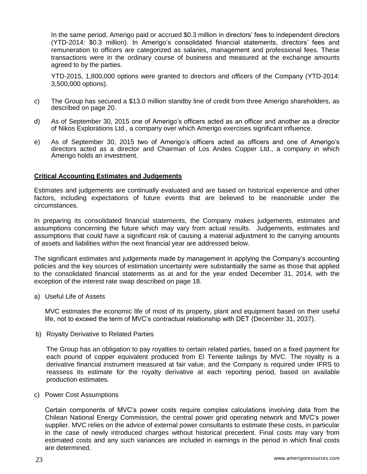In the same period, Amerigo paid or accrued \$0.3 million in directors' fees to independent directors (YTD-2014: \$0.3 million). In Amerigo's consolidated financial statements, directors' fees and remuneration to officers are categorized as salaries, management and professional fees. These transactions were in the ordinary course of business and measured at the exchange amounts agreed to by the parties.

YTD-2015, 1,800,000 options were granted to directors and officers of the Company (YTD-2014: 3,500,000 options).

- c) The Group has secured a \$13.0 million standby line of credit from three Amerigo shareholders, as described on page 20.
- d) As of September 30, 2015 one of Amerigo's officers acted as an officer and another as a director of Nikos Explorations Ltd., a company over which Amerigo exercises significant influence.
- e) As of September 30, 2015 two of Amerigo's officers acted as officers and one of Amerigo's directors acted as a director and Chairman of Los Andes Copper Ltd., a company in which Amerigo holds an investment.

#### **Critical Accounting Estimates and Judgements**

Estimates and judgements are continually evaluated and are based on historical experience and other factors, including expectations of future events that are believed to be reasonable under the circumstances.

In preparing its consolidated financial statements, the Company makes judgements, estimates and assumptions concerning the future which may vary from actual results. Judgements, estimates and assumptions that could have a significant risk of causing a material adjustment to the carrying amounts of assets and liabilities within the next financial year are addressed below.

The significant estimates and judgements made by management in applying the Company's accounting policies and the key sources of estimation uncertainty were substantially the same as those that applied to the consolidated financial statements as at and for the year ended December 31, 2014, with the exception of the interest rate swap described on page 18.

a) Useful Life of Assets

MVC estimates the economic life of most of its property, plant and equipment based on their useful life, not to exceed the term of MVC's contractual relationship with DET (December 31, 2037).

b) Royalty Derivative to Related Parties

The Group has an obligation to pay royalties to certain related parties, based on a fixed payment for each pound of copper equivalent produced from El Teniente tailings by MVC. The royalty is a derivative financial instrument measured at fair value, and the Company is required under IFRS to reassess its estimate for the royalty derivative at each reporting period, based on available production estimates.

c) Power Cost Assumptions

Certain components of MVC's power costs require complex calculations involving data from the Chilean National Energy Commission, the central power grid operating network and MVC's power supplier. MVC relies on the advice of external power consultants to estimate these costs, in particular in the case of newly introduced charges without historical precedent. Final costs may vary from estimated costs and any such variances are included in earnings in the period in which final costs are determined.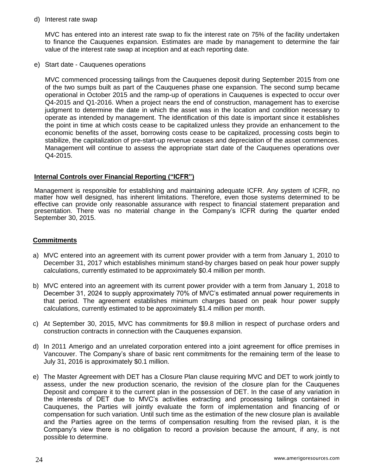d) Interest rate swap

MVC has entered into an interest rate swap to fix the interest rate on 75% of the facility undertaken to finance the Cauquenes expansion. Estimates are made by management to determine the fair value of the interest rate swap at inception and at each reporting date.

e) Start date - Cauquenes operations

MVC commenced processing tailings from the Cauquenes deposit during September 2015 from one of the two sumps built as part of the Cauquenes phase one expansion. The second sump became operational in October 2015 and the ramp-up of operations in Cauquenes is expected to occur over Q4-2015 and Q1-2016. When a project nears the end of construction, management has to exercise judgment to determine the date in which the asset was in the location and condition necessary to operate as intended by management. The identification of this date is important since it establishes the point in time at which costs cease to be capitalized unless they provide an enhancement to the economic benefits of the asset, borrowing costs cease to be capitalized, processing costs begin to stabilize, the capitalization of pre-start-up revenue ceases and depreciation of the asset commences. Management will continue to assess the appropriate start date of the Cauquenes operations over Q4-2015.

### **Internal Controls over Financial Reporting ("ICFR")**

Management is responsible for establishing and maintaining adequate ICFR. Any system of ICFR, no matter how well designed, has inherent limitations. Therefore, even those systems determined to be effective can provide only reasonable assurance with respect to financial statement preparation and presentation. There was no material change in the Company's ICFR during the quarter ended September 30, 2015.

### **Commitments**

- a) MVC entered into an agreement with its current power provider with a term from January 1, 2010 to December 31, 2017 which establishes minimum stand-by charges based on peak hour power supply calculations, currently estimated to be approximately \$0.4 million per month.
- b) MVC entered into an agreement with its current power provider with a term from January 1, 2018 to December 31, 2024 to supply approximately 70% of MVC's estimated annual power requirements in that period. The agreement establishes minimum charges based on peak hour power supply calculations, currently estimated to be approximately \$1.4 million per month.
- c) At September 30, 2015, MVC has commitments for \$9.8 million in respect of purchase orders and construction contracts in connection with the Cauquenes expansion.
- d) In 2011 Amerigo and an unrelated corporation entered into a joint agreement for office premises in Vancouver. The Company's share of basic rent commitments for the remaining term of the lease to July 31, 2016 is approximately \$0.1 million.
- e) The Master Agreement with DET has a Closure Plan clause requiring MVC and DET to work jointly to assess, under the new production scenario, the revision of the closure plan for the Cauquenes Deposit and compare it to the current plan in the possession of DET. In the case of any variation in the interests of DET due to MVC's activities extracting and processing tailings contained in Cauquenes, the Parties will jointly evaluate the form of implementation and financing of or compensation for such variation. Until such time as the estimation of the new closure plan is available and the Parties agree on the terms of compensation resulting from the revised plan, it is the Company's view there is no obligation to record a provision because the amount, if any, is not possible to determine.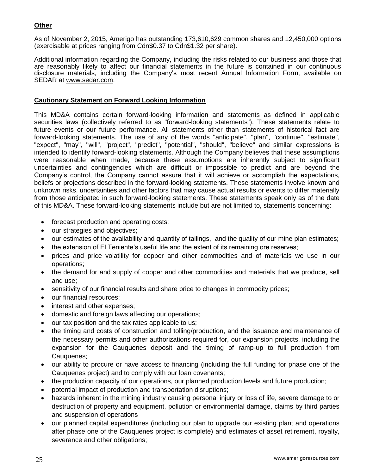## **Other**

As of November 2, 2015, Amerigo has outstanding 173,610,629 common shares and 12,450,000 options (exercisable at prices ranging from Cdn\$0.37 to Cdn\$1.32 per share).

Additional information regarding the Company, including the risks related to our business and those that are reasonably likely to affect our financial statements in the future is contained in our continuous disclosure materials, including the Company's most recent Annual Information Form, available on SEDAR at [www.sedar.com.](http://www.sedar.com/)

### **Cautionary Statement on Forward Looking Information**

This MD&A contains certain forward-looking information and statements as defined in applicable securities laws (collectively referred to as "forward-looking statements"). These statements relate to future events or our future performance. All statements other than statements of historical fact are forward-looking statements. The use of any of the words "anticipate", "plan", "continue", "estimate", "expect", "may", "will", "project", "predict", "potential", "should", "believe" and similar expressions is intended to identify forward-looking statements. Although the Company believes that these assumptions were reasonable when made, because these assumptions are inherently subject to significant uncertainties and contingencies which are difficult or impossible to predict and are beyond the Company's control, the Company cannot assure that it will achieve or accomplish the expectations, beliefs or projections described in the forward-looking statements. These statements involve known and unknown risks, uncertainties and other factors that may cause actual results or events to differ materially from those anticipated in such forward-looking statements. These statements speak only as of the date of this MD&A. These forward-looking statements include but are not limited to, statements concerning:

- forecast production and operating costs;
- our strategies and objectives;
- our estimates of the availability and quantity of tailings, and the quality of our mine plan estimates;
- the extension of El Teniente's useful life and the extent of its remaining ore reserves;
- prices and price volatility for copper and other commodities and of materials we use in our operations;
- the demand for and supply of copper and other commodities and materials that we produce, sell and use;
- sensitivity of our financial results and share price to changes in commodity prices;
- our financial resources;
- interest and other expenses;
- domestic and foreign laws affecting our operations;
- our tax position and the tax rates applicable to us;
- the timing and costs of construction and tolling/production, and the issuance and maintenance of the necessary permits and other authorizations required for, our expansion projects, including the expansion for the Cauquenes deposit and the timing of ramp-up to full production from Cauquenes;
- our ability to procure or have access to financing (including the full funding for phase one of the Cauquenes project) and to comply with our loan covenants;
- the production capacity of our operations, our planned production levels and future production;
- potential impact of production and transportation disruptions;
- hazards inherent in the mining industry causing personal injury or loss of life, severe damage to or destruction of property and equipment, pollution or environmental damage, claims by third parties and suspension of operations
- our planned capital expenditures (including our plan to upgrade our existing plant and operations after phase one of the Cauquenes project is complete) and estimates of asset retirement, royalty, severance and other obligations;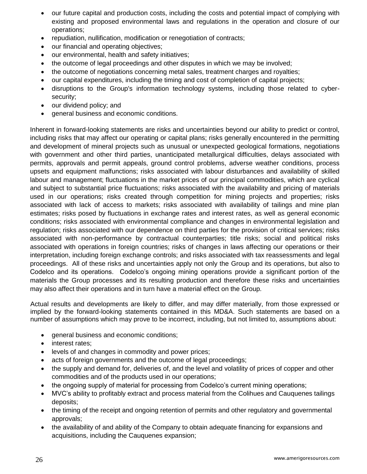- our future capital and production costs, including the costs and potential impact of complying with existing and proposed environmental laws and regulations in the operation and closure of our operations;
- repudiation, nullification, modification or renegotiation of contracts;
- our financial and operating objectives;
- our environmental, health and safety initiatives;
- the outcome of legal proceedings and other disputes in which we may be involved;
- the outcome of negotiations concerning metal sales, treatment charges and royalties;
- our capital expenditures, including the timing and cost of completion of capital projects;
- disruptions to the Group's information technology systems, including those related to cybersecurity;
- our dividend policy; and
- general business and economic conditions.

Inherent in forward-looking statements are risks and uncertainties beyond our ability to predict or control, including risks that may affect our operating or capital plans; risks generally encountered in the permitting and development of mineral projects such as unusual or unexpected geological formations, negotiations with government and other third parties, unanticipated metallurgical difficulties, delays associated with permits, approvals and permit appeals, ground control problems, adverse weather conditions, process upsets and equipment malfunctions; risks associated with labour disturbances and availability of skilled labour and management; fluctuations in the market prices of our principal commodities, which are cyclical and subject to substantial price fluctuations; risks associated with the availability and pricing of materials used in our operations; risks created through competition for mining projects and properties; risks associated with lack of access to markets; risks associated with availability of tailings and mine plan estimates; risks posed by fluctuations in exchange rates and interest rates, as well as general economic conditions; risks associated with environmental compliance and changes in environmental legislation and regulation; risks associated with our dependence on third parties for the provision of critical services; risks associated with non-performance by contractual counterparties; title risks; social and political risks associated with operations in foreign countries; risks of changes in laws affecting our operations or their interpretation, including foreign exchange controls; and risks associated with tax reassessments and legal proceedings. All of these risks and uncertainties apply not only the Group and its operations, but also to Codelco and its operations. Codelco's ongoing mining operations provide a significant portion of the materials the Group processes and its resulting production and therefore these risks and uncertainties may also affect their operations and in turn have a material effect on the Group.

Actual results and developments are likely to differ, and may differ materially, from those expressed or implied by the forward-looking statements contained in this MD&A. Such statements are based on a number of assumptions which may prove to be incorrect, including, but not limited to, assumptions about:

- general business and economic conditions;
- interest rates:
- levels of and changes in commodity and power prices;
- acts of foreign governments and the outcome of legal proceedings;
- the supply and demand for, deliveries of, and the level and volatility of prices of copper and other commodities and of the products used in our operations;
- the ongoing supply of material for processing from Codelco's current mining operations;
- MVC's ability to profitably extract and process material from the Colihues and Cauquenes tailings deposits;
- the timing of the receipt and ongoing retention of permits and other regulatory and governmental approvals;
- the availability of and ability of the Company to obtain adequate financing for expansions and acquisitions, including the Cauquenes expansion;